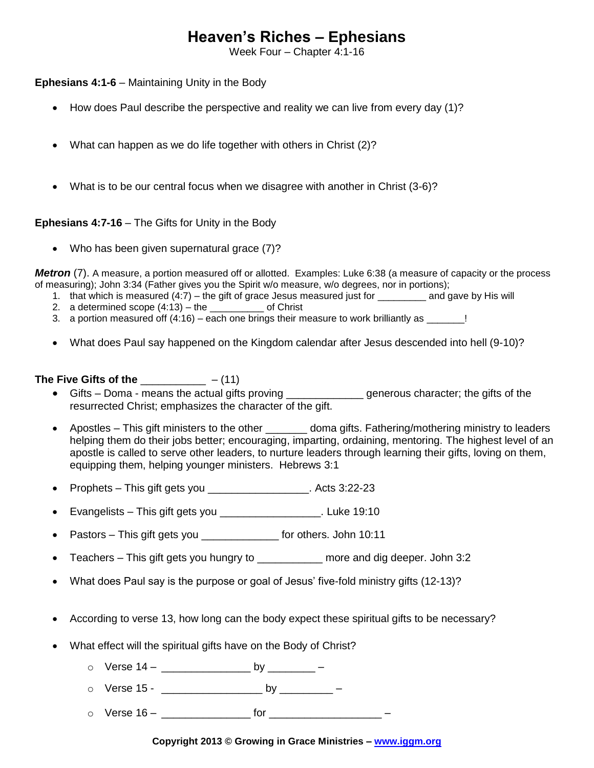# **Heaven's Riches – Ephesians**

Week Four – Chapter 4:1-16

**Ephesians 4:1-6** – Maintaining Unity in the Body

- How does Paul describe the perspective and reality we can live from every day (1)?
- What can happen as we do life together with others in Christ (2)?
- What is to be our central focus when we disagree with another in Christ (3-6)?

#### **Ephesians 4:7-16** – The Gifts for Unity in the Body

• Who has been given supernatural grace (7)?

*Metron* (7). A measure, a portion measured off or allotted. Examples: Luke 6:38 (a measure of capacity or the process of measuring); John 3:34 (Father gives you the Spirit w/o measure, w/o degrees, nor in portions);

- 1. hat which is measured (4:7) the gift of grace Jesus measured just for \_\_\_\_\_\_\_\_\_ and gave by His will
- 2. a determined scope  $(4:13)$  the \_\_\_\_\_\_\_\_\_\_ of Christ
- 3. a portion measured off  $(4:16)$  each one brings their measure to work brilliantly as  $\frac{1}{2}$ !
- What does Paul say happened on the Kingdom calendar after Jesus descended into hell (9-10)?

### **The Five Gifts of the** \_\_\_\_\_\_\_\_\_\_\_ – (11)

- Gifts Doma means the actual gifts proving \_\_\_\_\_\_\_\_\_\_\_\_\_ generous character; the gifts of the resurrected Christ; emphasizes the character of the gift.
- Apostles This gift ministers to the other doma gifts. Fathering/mothering ministry to leaders helping them do their jobs better; encouraging, imparting, ordaining, mentoring. The highest level of an apostle is called to serve other leaders, to nurture leaders through learning their gifts, loving on them, equipping them, helping younger ministers. Hebrews 3:1
- Prophets This gift gets you \_\_\_\_\_\_\_\_\_\_\_\_\_\_\_\_\_. Acts 3:22-23
- Evangelists This gift gets you \_\_\_\_\_\_\_\_\_\_\_\_\_\_\_\_\_. Luke 19:10
- Pastors This gift gets you \_\_\_\_\_\_\_\_\_\_\_\_\_\_\_ for others. John 10:11
- Teachers This gift gets you hungry to \_\_\_\_\_\_\_\_\_\_\_ more and dig deeper. John 3:2
- What does Paul say is the purpose or goal of Jesus' five-fold ministry gifts (12-13)?
- According to verse 13, how long can the body expect these spiritual gifts to be necessary?
- What effect will the spiritual gifts have on the Body of Christ?
	- $\circ$  Verse 14 \_\_\_\_\_\_\_\_\_\_\_\_\_\_\_\_\_\_\_ by \_\_\_\_\_\_\_\_ –
	- o Verse 15 \_\_\_\_\_\_\_\_\_\_\_\_\_\_\_\_\_ by \_\_\_\_\_\_\_\_\_ –
	- o Verse 16 \_\_\_\_\_\_\_\_\_\_\_\_\_\_\_ for \_\_\_\_\_\_\_\_\_\_\_\_\_\_\_\_\_\_\_ –

#### **Copyright 2013 © Growing in Grace Ministries – www.iggm.org**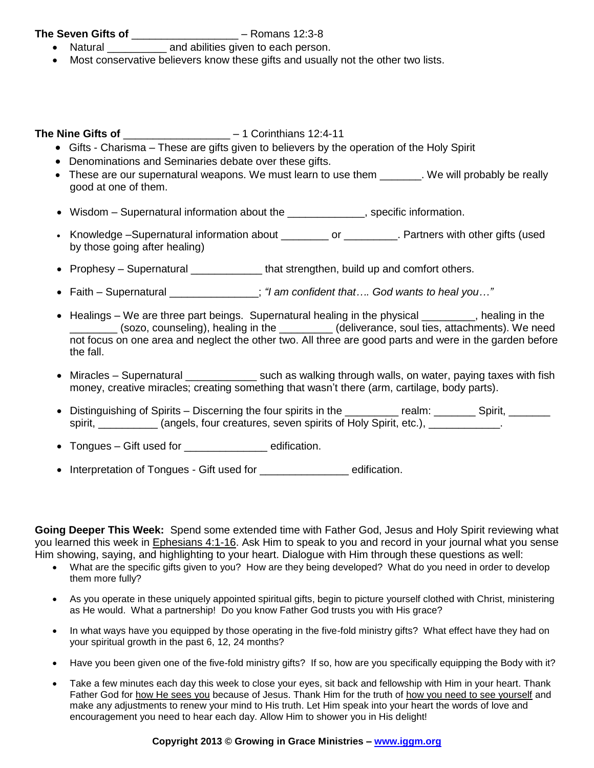### **The Seven Gifts of** \_\_\_\_\_\_\_\_\_\_\_\_\_\_\_\_\_\_ – Romans 12:3-8

- Natural **and abilities given to each person.**
- Most conservative believers know these gifts and usually not the other two lists.

# **The Nine Gifts of** \_\_\_\_\_\_\_\_\_\_\_\_\_\_\_\_\_\_ – 1 Corinthians 12:4-11

- Gifts Charisma These are gifts given to believers by the operation of the Holy Spirit
- Denominations and Seminaries debate over these gifts.
- These are our supernatural weapons. We must learn to use them We will probably be really good at one of them.
- Wisdom Supernatural information about the \_\_\_\_\_\_\_\_\_\_\_\_\_\_, specific information.
- Knowledge –Supernatural information about \_\_\_\_\_\_\_\_\_ or \_\_\_\_\_\_\_\_\_. Partners with other gifts (used by those going after healing)
- Prophesy Supernatural \_\_\_\_\_\_\_\_\_\_\_\_\_\_ that strengthen, build up and comfort others.
- Faith Supernatural \_\_\_\_\_\_\_\_\_\_\_\_\_\_\_; *"I am confident that…. God wants to heal you…"*
- $\bullet$  Healings We are three part beings. Supernatural healing in the physical  $\qquad \qquad$ , healing in the \_\_\_\_\_\_\_\_ (sozo, counseling), healing in the \_\_\_\_\_\_\_\_\_ (deliverance, soul ties, attachments). We need not focus on one area and neglect the other two. All three are good parts and were in the garden before the fall.
- Miracles Supernatural \_\_\_\_\_\_\_\_\_\_\_\_\_\_\_ such as walking through walls, on water, paying taxes with fish money, creative miracles; creating something that wasn't there (arm, cartilage, body parts).
- Distinguishing of Spirits Discerning the four spirits in the \_\_\_\_\_\_\_\_ realm: \_\_\_\_\_\_\_ Spirit, \_\_\_\_\_\_\_ spirit, etc.),  $\Box$  (angels, four creatures, seven spirits of Holy Spirit, etc.),  $\Box$
- Tongues Gift used for **Example 2** edification.
- Interpretation of Tongues Gift used for edification.

**Going Deeper This Week:** Spend some extended time with Father God, Jesus and Holy Spirit reviewing what you learned this week in Ephesians 4:1-16. Ask Him to speak to you and record in your journal what you sense Him showing, saying, and highlighting to your heart. Dialogue with Him through these questions as well:

- What are the specific gifts given to you? How are they being developed? What do you need in order to develop them more fully?
- As you operate in these uniquely appointed spiritual gifts, begin to picture yourself clothed with Christ, ministering as He would. What a partnership! Do you know Father God trusts you with His grace?
- In what ways have you equipped by those operating in the five-fold ministry gifts? What effect have they had on your spiritual growth in the past 6, 12, 24 months?
- Have you been given one of the five-fold ministry gifts? If so, how are you specifically equipping the Body with it?
- Take a few minutes each day this week to close your eyes, sit back and fellowship with Him in your heart. Thank Father God for how He sees you because of Jesus. Thank Him for the truth of how you need to see yourself and make any adjustments to renew your mind to His truth. Let Him speak into your heart the words of love and encouragement you need to hear each day. Allow Him to shower you in His delight!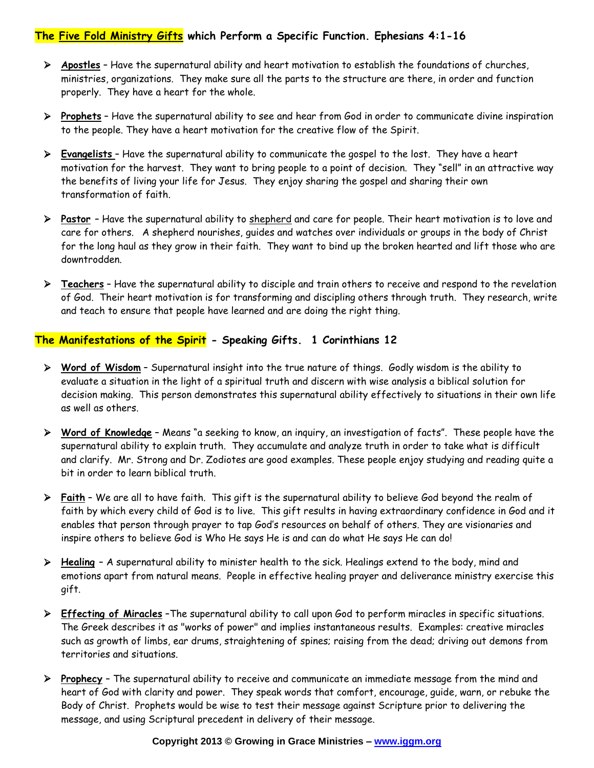# **The Five Fold Ministry Gifts which Perform a Specific Function. Ephesians 4:1-16**

- **Apostles** Have the supernatural ability and heart motivation to establish the foundations of churches, ministries, organizations. They make sure all the parts to the structure are there, in order and function properly. They have a heart for the whole.
- **Prophets** Have the supernatural ability to see and hear from God in order to communicate divine inspiration to the people. They have a heart motivation for the creative flow of the Spirit.
- **Evangelists** Have the supernatural ability to communicate the gospel to the lost. They have a heart motivation for the harvest. They want to bring people to a point of decision. They "sell" in an attractive way the benefits of living your life for Jesus. They enjoy sharing the gospel and sharing their own transformation of faith.
- **Pastor** Have the supernatural ability to shepherd and care for people. Their heart motivation is to love and care for others.A shepherd nourishes, guides and watches over individuals or groups in the body of Christ for the long haul as they grow in their faith. They want to bind up the broken hearted and lift those who are downtrodden.
- **Teachers** Have the supernatural ability to disciple and train others to receive and respond to the revelation of God. Their heart motivation is for transforming and discipling others through truth. They research, write and teach to ensure that people have learned and are doing the right thing.

### **The Manifestations of the Spirit - Speaking Gifts. 1 Corinthians 12**

- **Word of Wisdom** Supernatural insight into the true nature of things. Godly wisdom is the ability to evaluate a situation in the light of a spiritual truth and discern with wise analysis a biblical solution for decision making. This person demonstrates this supernatural ability effectively to situations in their own life as well as others.
- **Word of Knowledge** Means "a seeking to know, an inquiry, an investigation of facts". These people have the supernatural ability to explain truth. They accumulate and analyze truth in order to take what is difficult and clarify. Mr. Strong and Dr. Zodiotes are good examples. These people enjoy studying and reading quite a bit in order to learn biblical truth.
- **Faith** We are all to have faith. This gift is the supernatural ability to believe God beyond the realm of faith by which every child of God is to live. This gift results in having extraordinary confidence in God and it enables that person through prayer to tap God's resources on behalf of others. They are visionaries and inspire others to believe God is Who He says He is and can do what He says He can do!
- **Healing** A supernatural ability to minister health to the sick. Healings extend to the body, mind and emotions apart from natural means. People in effective healing prayer and deliverance ministry exercise this gift.
- **Effecting of Miracles** –The supernatural ability to call upon God to perform miracles in specific situations. The Greek describes it as "works of power" and implies instantaneous results. Examples: creative miracles such as growth of limbs, ear drums, straightening of spines; raising from the dead; driving out demons from territories and situations.
- **Prophecy** The supernatural ability to receive and communicate an immediate message from the mind and heart of God with clarity and power. They speak words that comfort, encourage, guide, warn, or rebuke the Body of Christ. Prophets would be wise to test their message against Scripture prior to delivering the message, and using Scriptural precedent in delivery of their message.

#### **Copyright 2013 © Growing in Grace Ministries – www.iggm.org**